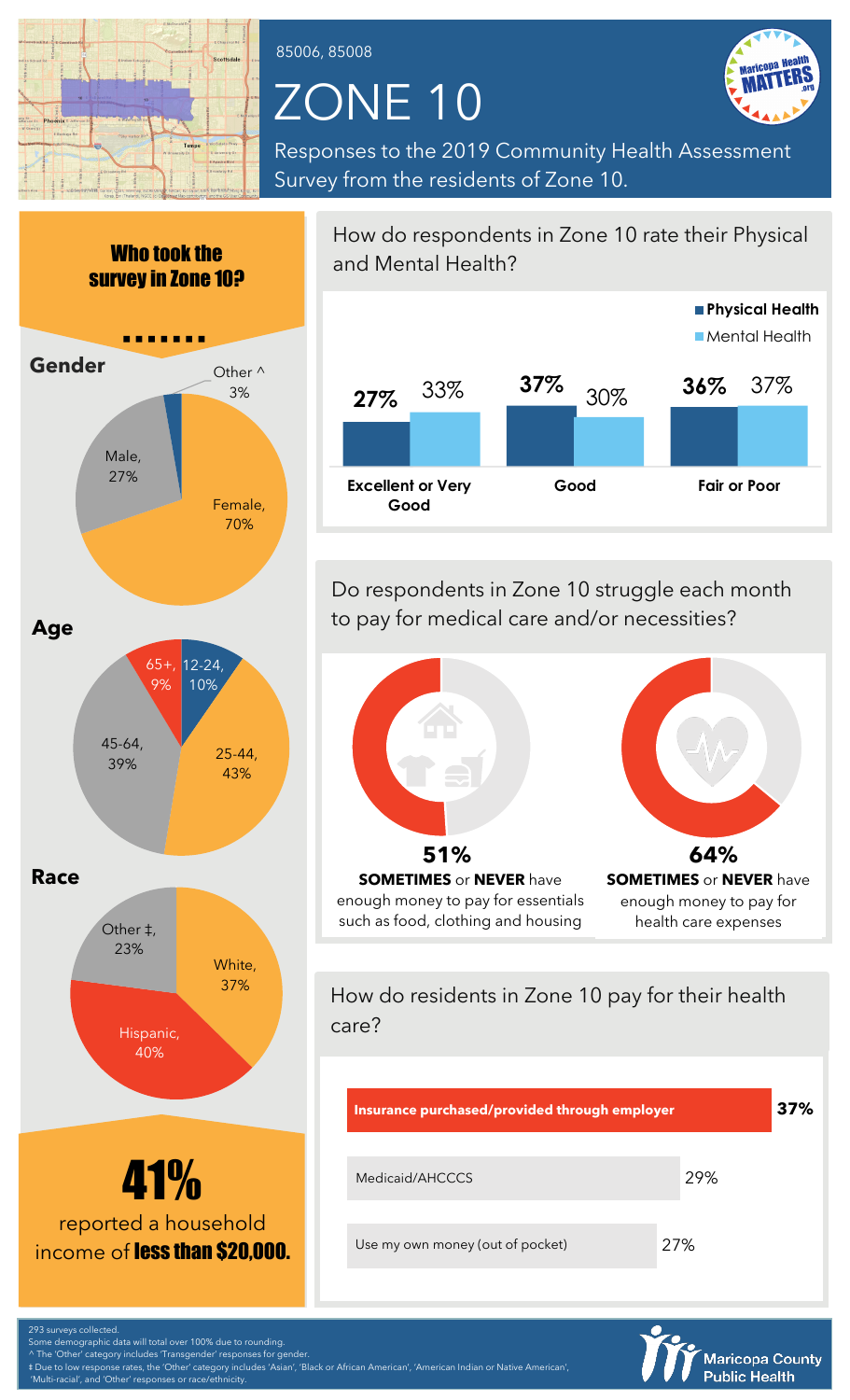

85006, 85008

## ZONE 10



Responses to the 2019 Community Health Assessment Survey from the residents of Zone 10.



^ The 'Other' category includes 'Transgender' responses for gender.

d 'Other' responses or race/ethnicity

‡ Due to low response rates, the 'Other' category includes 'Asian', 'Black or African American', 'American Indian or Native American',

How do respondents in Zone 10 rate their Physical and Mental Health? **27%** 33% **37% 36%** 30% 37% **Excellent or Very Good Good Fair or Poor Physical Health** Mental Health

Do respondents in Zone 10 struggle each month to pay for medical care and/or necessities?



How do residents in Zone 10 pay for their health care?